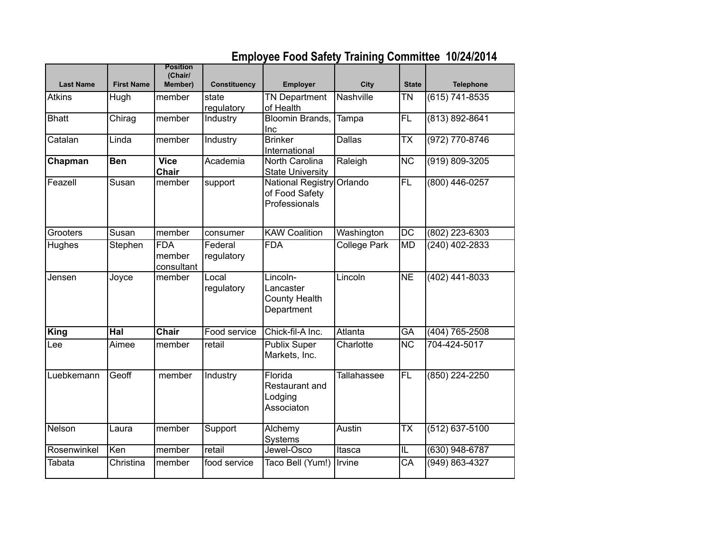|                  |                   | <b>Position</b>                    |                       |                                                             |                    |                          |                    |
|------------------|-------------------|------------------------------------|-----------------------|-------------------------------------------------------------|--------------------|--------------------------|--------------------|
| <b>Last Name</b> | <b>First Name</b> | (Chair/<br>Member)                 | <b>Constituency</b>   | Employer                                                    | <b>City</b>        | <b>State</b>             | <b>Telephone</b>   |
| <b>Atkins</b>    | Hugh              | member                             | state<br>regulatory   | <b>TN Department</b><br>of Health                           | Nashville          | TN                       | (615) 741-8535     |
| <b>Bhatt</b>     | Chirag            | member                             | Industry              | <b>Bloomin Brands.</b><br>Inc                               | Tampa              | $\overline{FL}$          | (813) 892-8641     |
| Catalan          | Linda             | member                             | Industry              | <b>Brinker</b><br>International                             | <b>Dallas</b>      | $\overline{\mathsf{TX}}$ | $(972) 770 - 8746$ |
| Chapman          | <b>Ben</b>        | <b>Vice</b><br><b>Chair</b>        | Academia              | North Carolina<br><b>State University</b>                   | Raleigh            | $\overline{\text{NC}}$   | $(919) 809 - 3205$ |
| Feazell          | Susan             | member                             | support               | <b>National Registry</b><br>of Food Safety<br>Professionals | Orlando            | $\overline{FL}$          | $(800)$ 446-0257   |
| Grooters         | Susan             | member                             | consumer              | <b>KAW Coalition</b>                                        | Washington         | $\overline{DC}$          | (802) 223-6303     |
| Hughes           | Stephen           | <b>FDA</b><br>member<br>consultant | Federal<br>regulatory | <b>FDA</b>                                                  | College Park       | <b>MD</b>                | $(240)$ 402-2833   |
| Jensen           | Joyce             | member                             | Local<br>regulatory   | Lincoln-<br>Lancaster<br><b>County Health</b><br>Department | Lincoln            | $\overline{\text{NE}}$   | (402) 441-8033     |
| <b>King</b>      | $\overline{Hal}$  | Chair                              | Food service          | Chick-fil-A Inc.                                            | Atlanta            | GA                       | (404) 765-2508     |
| Lee              | Aimee             | member                             | retail                | <b>Publix Super</b><br>Markets, Inc.                        | Charlotte          | $\overline{\text{NC}}$   | 704-424-5017       |
| Luebkemann       | Geoff             | member                             | Industry              | Florida<br>Restaurant and<br>Lodging<br>Associaton          | <b>Tallahassee</b> | FL                       | (850) 224-2250     |
| Nelson           | Laura             | member                             | Support               | Alchemy<br>Systems                                          | Austin             | $\overline{\mathsf{TX}}$ | (512) 637-5100     |
| Rosenwinkel      | Ken               | member                             | retail                | Jewel-Osco                                                  | Itasca             | L                        | $(630)$ 948-6787   |
| Tabata           | Christina         | member                             | food service          | Taco Bell (Yum!)                                            | Irvine             | $\overline{\mathsf{CA}}$ | $(949) 863 - 4327$ |

## **Employee Food Safety Training Committee 10/24/2014**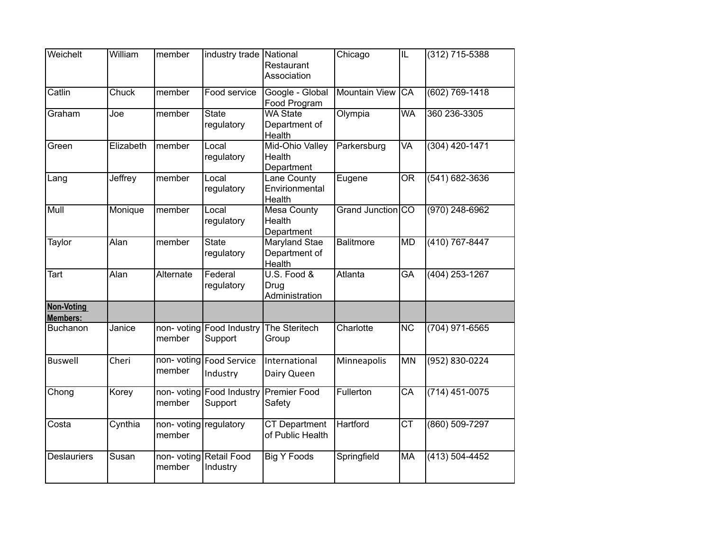| Weichelt               | William   | member                          | industry trade National                | Restaurant<br>Association                       | Chicago              | $\overline{\mathbb{L}}$ | (312) 715-5388     |
|------------------------|-----------|---------------------------------|----------------------------------------|-------------------------------------------------|----------------------|-------------------------|--------------------|
| Catlin                 | Chuck     | member                          | Food service                           | Google - Global<br>Food Program                 | <b>Mountain View</b> | $\overline{CA}$         | $(602) 769 - 1418$ |
| Graham                 | Joe       | member                          | <b>State</b><br>regulatory             | <b>WA State</b><br>Department of<br>Health      | Olympia              | <b>WA</b>               | 360 236-3305       |
| Green                  | Elizabeth | member                          | Local<br>regulatory                    | Mid-Ohio Valley<br>Health<br>Department         | Parkersburg          | <b>VA</b>               | $(304)$ 420-1471   |
| Lang                   | Jeffrey   | member                          | Local<br>regulatory                    | Lane County<br>Envirionmental<br>Health         | Eugene               | <b>OR</b>               | (541) 682-3636     |
| Mull                   | Monique   | member                          | Local<br>regulatory                    | <b>Mesa County</b><br>Health<br>Department      | Grand Junction CO    |                         | (970) 248-6962     |
| <b>Taylor</b>          | Alan      | member                          | <b>State</b><br>regulatory             | <b>Maryland Stae</b><br>Department of<br>Health | <b>Balitmore</b>     | MD                      | $(410) 767 - 8447$ |
| <b>Tart</b>            | Alan      | Alternate                       | Federal<br>regulatory                  | U.S. Food &<br>Drug<br>Administration           | Atlanta              | <b>GA</b>               | $(404)$ 253-1267   |
| Non-Voting<br>Members: |           |                                 |                                        |                                                 |                      |                         |                    |
| Buchanon               | Janice    | member                          | non- voting Food Industry<br>Support   | The Steritech<br>Group                          | Charlotte            | <b>NC</b>               | (704) 971-6565     |
| <b>Buswell</b>         | Cheri     | member                          | non- voting   Food Service<br>Industry | International<br>Dairy Queen                    | Minneapolis          | MN                      | (952) 830-0224     |
| Chong                  | Korey     | member                          | non- voting Food Industry<br>Support   | Premier Food<br>Safety                          | Fullerton            | $\overline{CA}$         | (714) 451-0075     |
| Costa                  | Cynthia   | non-voting regulatory<br>member |                                        | <b>CT Department</b><br>of Public Health        | <b>Hartford</b>      | $\overline{\text{CT}}$  | (860) 509-7297     |
| <b>Deslauriers</b>     | Susan     | member                          | non- voting Retail Food<br>Industry    | <b>Big Y Foods</b>                              | Springfield          | <b>MA</b>               | (413) 504-4452     |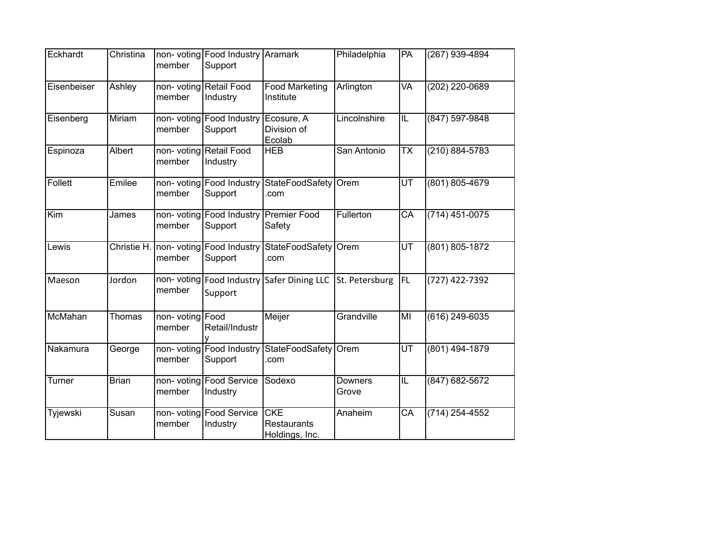| Eckhardt    | Christina    | member                    | non- voting Food Industry<br>Support              | Aramark                                            | Philadelphia            | PA                       | (267) 939-4894     |
|-------------|--------------|---------------------------|---------------------------------------------------|----------------------------------------------------|-------------------------|--------------------------|--------------------|
| Eisenbeiser | Ashley       | member                    | non- voting Retail Food<br>Industry               | <b>Food Marketing</b><br>Institute                 | Arlington               | <b>VA</b>                | (202) 220-0689     |
| Eisenberg   | Miriam       | member                    | non- voting Food Industry<br>Support              | Ecosure, A<br>Division of<br>Ecolab                | Lincolnshire            | $\overline{\mathsf{IL}}$ | (847) 597-9848     |
| Espinoza    | Albert       | member                    | non-voting Retail Food<br>Industry                | <b>HEB</b>                                         | San Antonio             | $\overline{\text{TX}}$   | $(210) 884 - 5783$ |
| Follett     | Emilee       | member                    | non- voting Food Industry<br>Support              | StateFoodSafety Orem<br>.com                       |                         | $\overline{\mathsf{UT}}$ | (801) 805-4679     |
| Kim         | James        | member                    | non- voting Food Industry Premier Food<br>Support | Safety                                             | Fullerton               | $\overline{CA}$          | (714) 451-0075     |
| Lewis       |              | member                    | Christie H. non- voting Food Industry<br>Support  | StateFoodSafety<br>.com                            | Orem                    | UT                       | (801) 805-1872     |
| Maeson      | Jordon       | member                    | non- voting Food Industry<br>Support              | Safer Dining LLC                                   | St. Petersburg          | <b>FL</b>                | (727) 422-7392     |
| McMahan     | Thomas       | non-voting Food<br>member | Retail/Industr                                    | Meijer                                             | Grandville              | MI                       | $(616)$ 249-6035   |
| Nakamura    | George       | member                    | non-voting Food Industry<br>Support               | StateFoodSafety<br>.com                            | Orem                    | $\overline{\mathsf{UT}}$ | (801) 494-1879     |
| Turner      | <b>Brian</b> | member                    | non-voting Food Service<br>Industry               | Sodexo                                             | <b>Downers</b><br>Grove | $\overline{\mathsf{IL}}$ | $(847) 682 - 5672$ |
| Tyjewski    | Susan        | member                    | non- voting Food Service<br>Industry              | <b>CKE</b><br><b>Restaurants</b><br>Holdings, Inc. | Anaheim                 | $\overline{CA}$          | (714) 254-4552     |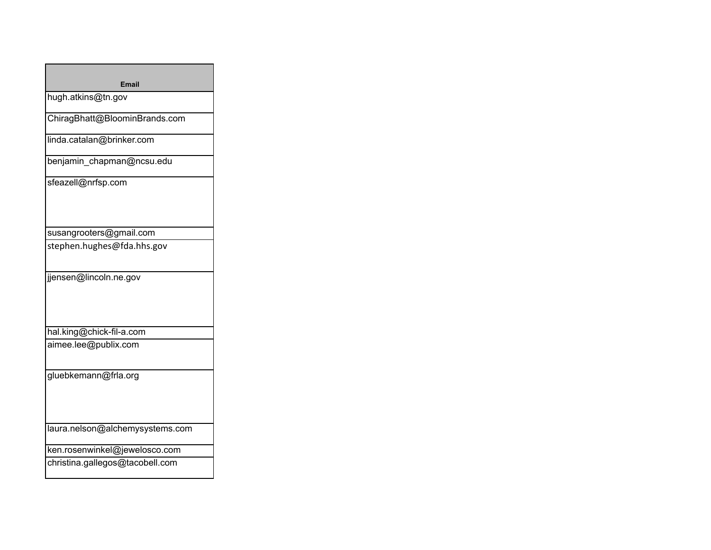| Email                           |
|---------------------------------|
| hugh.atkins@tn.gov              |
| ChiragBhatt@BloominBrands.com   |
| linda.catalan@brinker.com       |
| benjamin_chapman@ncsu.edu       |
| sfeazell@nrfsp.com              |
| susangrooters@gmail.com         |
| stephen.hughes@fda.hhs.gov      |
| jjensen@lincoln.ne.gov          |
| hal.king@chick-fil-a.com        |
| aimee.lee@publix.com            |
| gluebkemann@frla.org            |
| laura.nelson@alchemysystems.com |
| ken.rosenwinkel@jewelosco.com   |
| christina.gallegos@tacobell.com |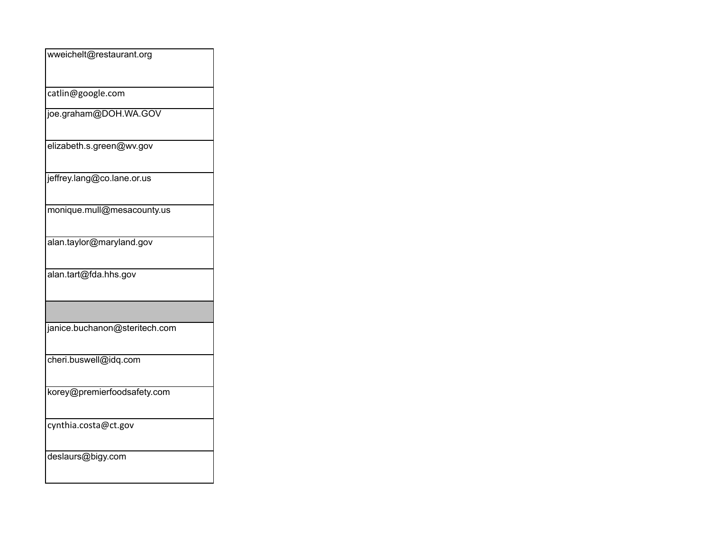| wweichelt@restaurant.org      |
|-------------------------------|
|                               |
| catlin@google.com             |
| joe.graham@DOH.WA.GOV         |
| elizabeth.s.green@wv.gov      |
| jeffrey.lang@co.lane.or.us    |
| monique.mull@mesacounty.us    |
| alan.taylor@maryland.gov      |
| alan.tart@fda.hhs.gov         |
|                               |
| janice.buchanon@steritech.com |
| cheri.buswell@idq.com         |
| korey@premierfoodsafety.com   |
| cynthia.costa@ct.gov          |
| deslaurs@bigy.com             |